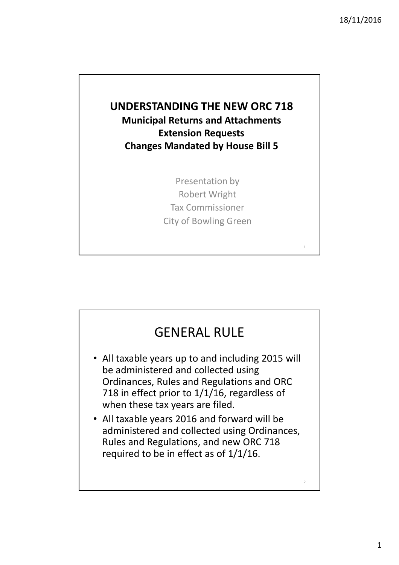## UNDERSTANDING THE NEW ORC 718 Municipal Returns and Attachments Extension Requests Changes Mandated by House Bill 5

Presentation by Robert Wright Tax Commissioner City of Bowling Green

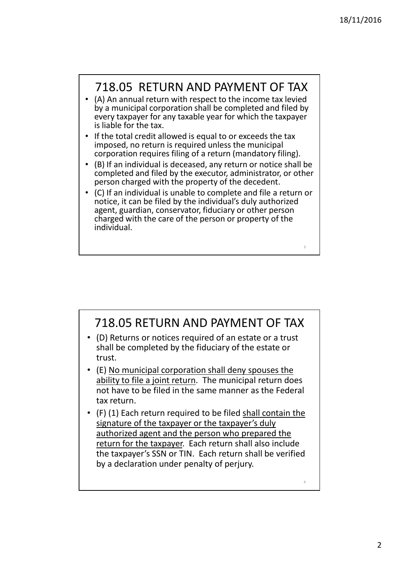4

## 718.05 RETURN AND PAYMENT OF TAX

- (A) An annual return with respect to the income tax levied by a municipal corporation shall be completed and filed by every taxpayer for any taxable year for which the taxpayer is liable for the tax.
- If the total credit allowed is equal to or exceeds the tax imposed, no return is required unless the municipal corporation requires filing of a return (mandatory filing).
- (B) If an individual is deceased, any return or notice shall be completed and filed by the executor, administrator, or other person charged with the property of the decedent.
- (C) If an individual is unable to complete and file a return or notice, it can be filed by the individual's duly authorized agent, guardian, conservator, fiduciary or other person charged with the care of the person or property of the individual.

## 718.05 RETURN AND PAYMENT OF TAX

- (D) Returns or notices required of an estate or a trust shall be completed by the fiduciary of the estate or trust.
- (E) No municipal corporation shall deny spouses the ability to file a joint return. The municipal return does not have to be filed in the same manner as the Federal tax return.
- (F) (1) Each return required to be filed shall contain the signature of the taxpayer or the taxpayer's duly authorized agent and the person who prepared the return for the taxpayer. Each return shall also include the taxpayer's SSN or TIN. Each return shall be verified by a declaration under penalty of perjury.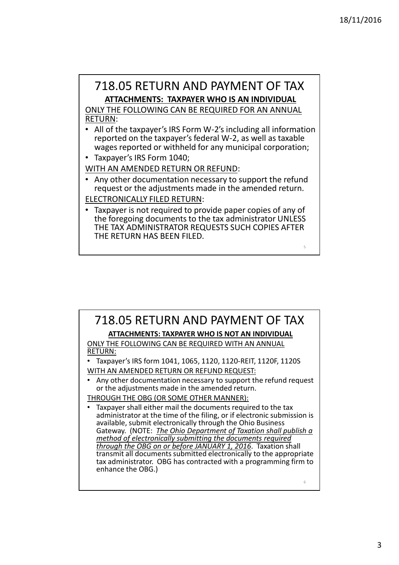### 718.05 RETURN AND PAYMENT OF TAX ATTACHMENTS: TAXPAYER WHO IS AN INDIVIDUAL

ONLY THE FOLLOWING CAN BE REQUIRED FOR AN ANNUAL RETURN:

- All of the taxpayer's IRS Form W-2's including all information reported on the taxpayer's federal W-2, as well as taxable wages reported or withheld for any municipal corporation;
- Taxpayer's IRS Form 1040;

WITH AN AMENDED RETURN OR REFUND:

- Any other documentation necessary to support the refund request or the adjustments made in the amended return.
- ELECTRONICALLY FILED RETURN:
- Taxpayer is not required to provide paper copies of any of the foregoing documents to the tax administrator UNLESS THE TAX ADMINISTRATOR REQUESTS SUCH COPIES AFTER THE RETURN HAS BEEN FILED.

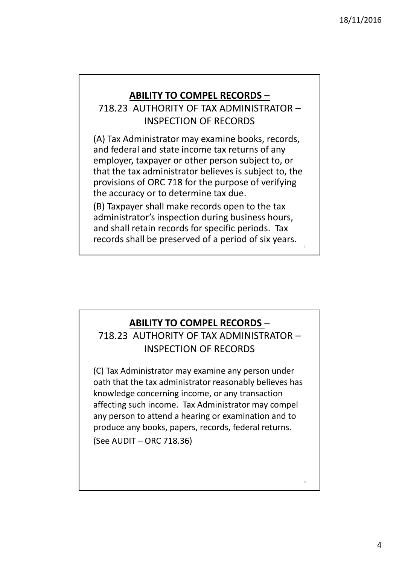8

#### ABILITY TO COMPEL RECORDS –

718.23 AUTHORITY OF TAX ADMINISTRATOR – INSPECTION OF RECORDS

(A) Tax Administrator may examine books, records, and federal and state income tax returns of any employer, taxpayer or other person subject to, or that the tax administrator believes is subject to, the provisions of ORC 718 for the purpose of verifying the accuracy or to determine tax due.

(B) Taxpayer shall make records open to the tax administrator's inspection during business hours, and shall retain records for specific periods. Tax records shall be preserved of a period of six years.

#### ABILITY TO COMPEL RECORDS –

718.23 AUTHORITY OF TAX ADMINISTRATOR – INSPECTION OF RECORDS

(C) Tax Administrator may examine any person under oath that the tax administrator reasonably believes has knowledge concerning income, or any transaction affecting such income. Tax Administrator may compel any person to attend a hearing or examination and to produce any books, papers, records, federal returns.

(See AUDIT – ORC 718.36)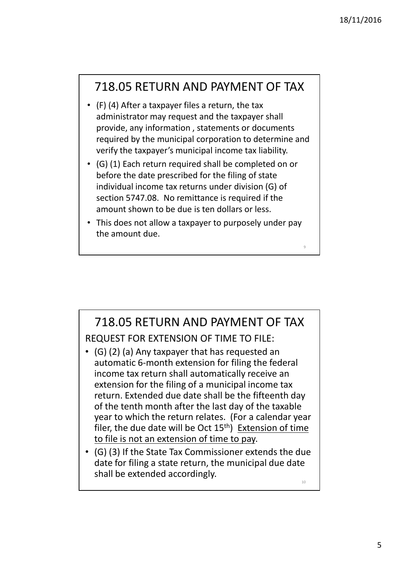10

## 718.05 RETURN AND PAYMENT OF TAX

- (F) (4) After a taxpayer files a return, the tax administrator may request and the taxpayer shall provide, any information , statements or documents required by the municipal corporation to determine and verify the taxpayer's municipal income tax liability.
- (G) (1) Each return required shall be completed on or before the date prescribed for the filing of state individual income tax returns under division (G) of section 5747.08. No remittance is required if the amount shown to be due is ten dollars or less.
- This does not allow a taxpayer to purposely under pay the amount due.

#### 718.05 RETURN AND PAYMENT OF TAX REQUEST FOR EXTENSION OF TIME TO FILE: • (G) (2) (a) Any taxpayer that has requested an automatic 6-month extension for filing the federal income tax return shall automatically receive an extension for the filing of a municipal income tax return. Extended due date shall be the fifteenth day of the tenth month after the last day of the taxable year to which the return relates. (For a calendar year filer, the due date will be Oct  $15<sup>th</sup>$ ) Extension of time to file is not an extension of time to pay. • (G) (3) If the State Tax Commissioner extends the due date for filing a state return, the municipal due date

shall be extended accordingly.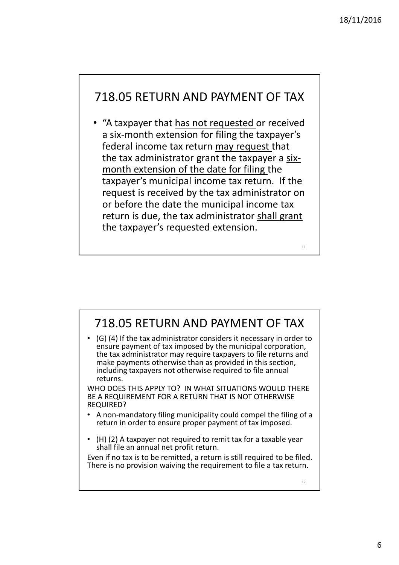## 718.05 RETURN AND PAYMENT OF TAX

• "A taxpayer that has not requested or received a six-month extension for filing the taxpayer's federal income tax return may request that the tax administrator grant the taxpayer a sixmonth extension of the date for filing the taxpayer's municipal income tax return. If the request is received by the tax administrator on or before the date the municipal income tax return is due, the tax administrator shall grant the taxpayer's requested extension.

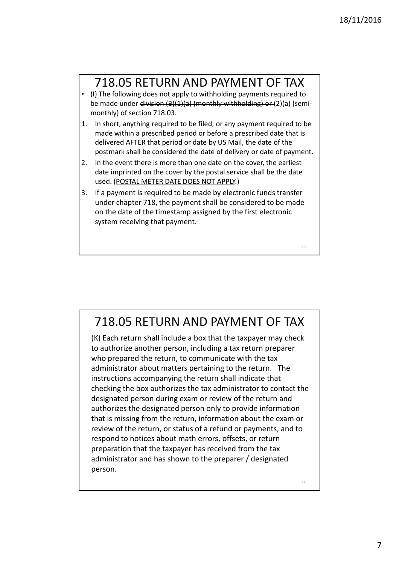## 718.05 RETURN AND PAYMENT OF TAX

- (I) The following does not apply to withholding payments required to be made under division (B)(1)(a) (monthly withholding) or (2)(a) (semimonthly) of section 718.03.
- 1. In short, anything required to be filed, or any payment required to be made within a prescribed period or before a prescribed date that is delivered AFTER that period or date by US Mail, the date of the postmark shall be considered the date of delivery or date of payment.
- 2. In the event there is more than one date on the cover, the earliest date imprinted on the cover by the postal service shall be the date used. (POSTAL METER DATE DOES NOT APPLY.)
- 3. If a payment is required to be made by electronic funds transfer under chapter 718, the payment shall be considered to be made on the date of the timestamp assigned by the first electronic system receiving that payment.

718.05 RETURN AND PAYMENT OF TAX

(K) Each return shall include a box that the taxpayer may check to authorize another person, including a tax return preparer who prepared the return, to communicate with the tax administrator about matters pertaining to the return. The instructions accompanying the return shall indicate that checking the box authorizes the tax administrator to contact the designated person during exam or review of the return and authorizes the designated person only to provide information that is missing from the return, information about the exam or review of the return, or status of a refund or payments, and to respond to notices about math errors, offsets, or return preparation that the taxpayer has received from the tax administrator and has shown to the preparer / designated person.

14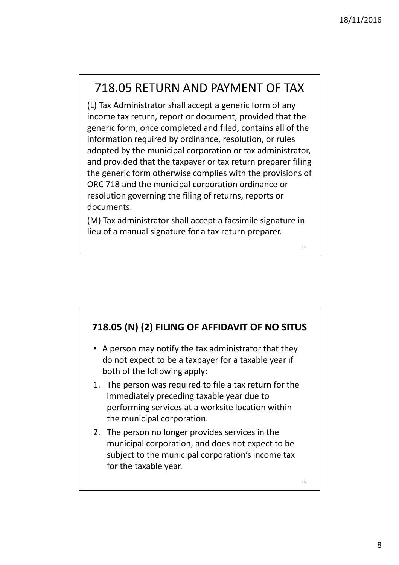## 718.05 RETURN AND PAYMENT OF TAX

(L) Tax Administrator shall accept a generic form of any income tax return, report or document, provided that the generic form, once completed and filed, contains all of the information required by ordinance, resolution, or rules adopted by the municipal corporation or tax administrator, and provided that the taxpayer or tax return preparer filing the generic form otherwise complies with the provisions of ORC 718 and the municipal corporation ordinance or resolution governing the filing of returns, reports or documents.

(M) Tax administrator shall accept a facsimile signature in lieu of a manual signature for a tax return preparer.

718.05 (N) (2) FILING OF AFFIDAVIT OF NO SITUS

- A person may notify the tax administrator that they do not expect to be a taxpayer for a taxable year if both of the following apply:
- 1. The person was required to file a tax return for the immediately preceding taxable year due to performing services at a worksite location within the municipal corporation.
- 2. The person no longer provides services in the municipal corporation, and does not expect to be subject to the municipal corporation's income tax for the taxable year.

16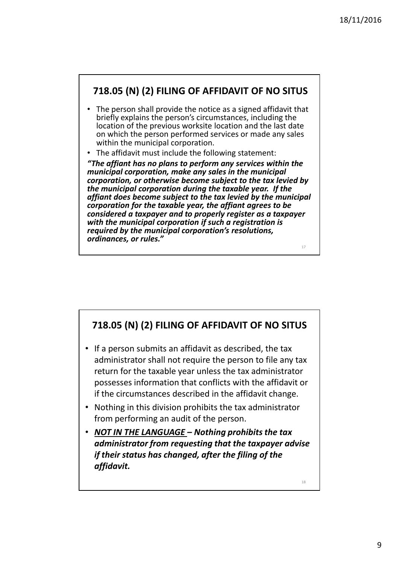#### 718.05 (N) (2) FILING OF AFFIDAVIT OF NO SITUS

- The person shall provide the notice as a signed affidavit that briefly explains the person's circumstances, including the location of the previous worksite location and the last date on which the person performed services or made any sales within the municipal corporation.
- The affidavit must include the following statement:

"The affiant has no plans to perform any services within the municipal corporation, make any sales in the municipal corporation, or otherwise become subject to the tax levied by the municipal corporation during the taxable year. If the affiant does become subject to the tax levied by the municipal corporation for the taxable year, the affiant agrees to be considered a taxpayer and to properly register as a taxpayer with the municipal corporation if such a registration is required by the municipal corporation's resolutions, ordinances, or rules." 17

718.05 (N) (2) FILING OF AFFIDAVIT OF NO SITUS

- If a person submits an affidavit as described, the tax administrator shall not require the person to file any tax return for the taxable year unless the tax administrator possesses information that conflicts with the affidavit or if the circumstances described in the affidavit change.
- Nothing in this division prohibits the tax administrator from performing an audit of the person.
- NOT IN THE LANGUAGE Nothing prohibits the tax administrator from requesting that the taxpayer advise if their status has changed, after the filing of the affidavit.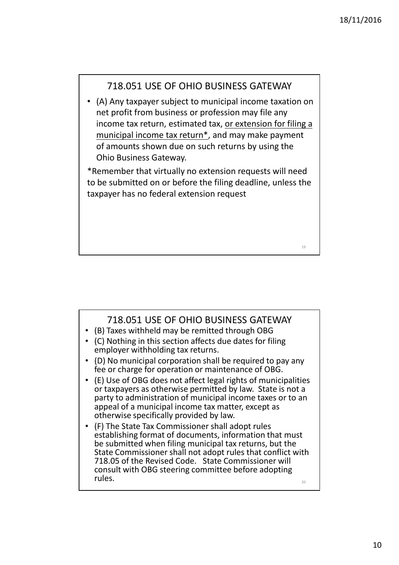#### 718.051 USE OF OHIO BUSINESS GATEWAY

• (A) Any taxpayer subject to municipal income taxation on net profit from business or profession may file any income tax return, estimated tax, or extension for filing a municipal income tax return\*, and may make payment of amounts shown due on such returns by using the Ohio Business Gateway.

\*Remember that virtually no extension requests will need to be submitted on or before the filing deadline, unless the taxpayer has no federal extension request

#### 718.051 USE OF OHIO BUSINESS GATEWAY

- (B) Taxes withheld may be remitted through OBG
- (C) Nothing in this section affects due dates for filing employer withholding tax returns.
- (D) No municipal corporation shall be required to pay any fee or charge for operation or maintenance of OBG.
- (E) Use of OBG does not affect legal rights of municipalities or taxpayers as otherwise permitted by law. State is not a party to administration of municipal income taxes or to an appeal of a municipal income tax matter, except as otherwise specifically provided by law.
- (F) The State Tax Commissioner shall adopt rules establishing format of documents, information that must be submitted when filing municipal tax returns, but the State Commissioner shall not adopt rules that conflict with 718.05 of the Revised Code. State Commissioner will consult with OBG steering committee before adopting rules.  $\frac{1}{20}$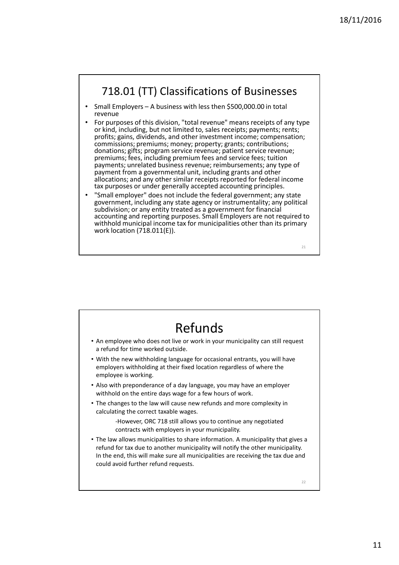### 718.01 (TT) Classifications of Businesses

- Small Employers A business with less then \$500,000.00 in total revenue
- For purposes of this division, "total revenue" means receipts of any type or kind, including, but not limited to, sales receipts; payments; rents; profits; gains, dividends, and other investment income; compensation; commissions; premiums; money; property; grants; contributions; donations; gifts; program service revenue; patient service revenue; premiums; fees, including premium fees and service fees; tuition payments; unrelated business revenue; reimbursements; any type of payment from a governmental unit, including grants and other allocations; and any other similar receipts reported for federal income tax purposes or under generally accepted accounting principles.
- "Small employer" does not include the federal government; any state government, including any state agency or instrumentality; any political subdivision; or any entity treated as a government for financial accounting and reporting purposes. Small Employers are not required to withhold municipal income tax for municipalities other than its primary work location (718.011(E)).

22 Refunds • An employee who does not live or work in your municipality can still request a refund for time worked outside. • With the new withholding language for occasional entrants, you will have employers withholding at their fixed location regardless of where the employee is working. • Also with preponderance of a day language, you may have an employer withhold on the entire days wage for a few hours of work. • The changes to the law will cause new refunds and more complexity in calculating the correct taxable wages. -However, ORC 718 still allows you to continue any negotiated contracts with employers in your municipality. • The law allows municipalities to share information. A municipality that gives a refund for tax due to another municipality will notify the other municipality. In the end, this will make sure all municipalities are receiving the tax due and could avoid further refund requests.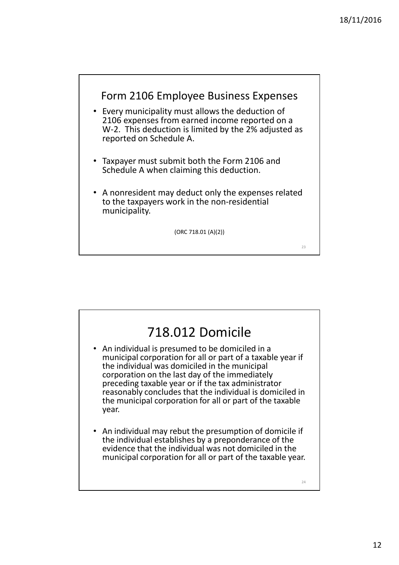

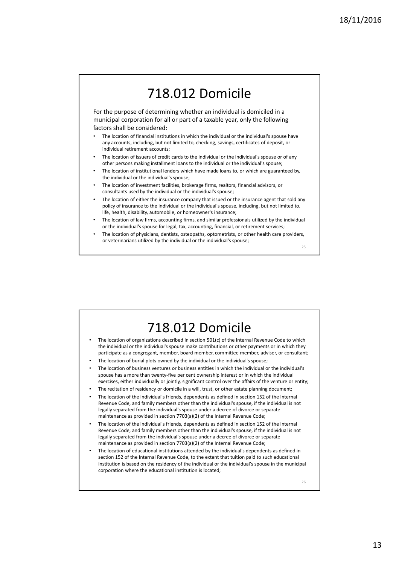## 718.012 Domicile

For the purpose of determining whether an individual is domiciled in a municipal corporation for all or part of a taxable year, only the following factors shall be considered:

- The location of financial institutions in which the individual or the individual's spouse have any accounts, including, but not limited to, checking, savings, certificates of deposit, or individual retirement accounts;
- The location of issuers of credit cards to the individual or the individual's spouse or of any other persons making installment loans to the individual or the individual's spouse;
- The location of institutional lenders which have made loans to, or which are guaranteed by, the individual or the individual's spouse;
- The location of investment facilities, brokerage firms, realtors, financial advisors, or consultants used by the individual or the individual's spouse;
- The location of either the insurance company that issued or the insurance agent that sold any policy of insurance to the individual or the individual's spouse, including, but not limited to, life, health, disability, automobile, or homeowner's insurance;
- The location of law firms, accounting firms, and similar professionals utilized by the individual or the individual's spouse for legal, tax, accounting, financial, or retirement services;
- The location of physicians, dentists, osteopaths, optometrists, or other health care providers, or veterinarians utilized by the individual or the individual's spouse;

25

# 718.012 Domicile

- The location of organizations described in section 501(c) of the Internal Revenue Code to which the individual or the individual's spouse make contributions or other payments or in which they participate as a congregant, member, board member, committee member, adviser, or consultant;
- The location of burial plots owned by the individual or the individual's spouse;
- The location of business ventures or business entities in which the individual or the individual's spouse has a more than twenty-five per cent ownership interest or in which the individual exercises, either individually or jointly, significant control over the affairs of the venture or entity;
- The recitation of residency or domicile in a will, trust, or other estate planning document;
- The location of the individual's friends, dependents as defined in section 152 of the Internal Revenue Code, and family members other than the individual's spouse, if the individual is not legally separated from the individual's spouse under a decree of divorce or separate maintenance as provided in section 7703(a)(2) of the Internal Revenue Code;
- The location of the individual's friends, dependents as defined in section 152 of the Internal Revenue Code, and family members other than the individual's spouse, if the individual is not legally separated from the individual's spouse under a decree of divorce or separate maintenance as provided in section 7703(a)(2) of the Internal Revenue Code;
- The location of educational institutions attended by the individual's dependents as defined in section 152 of the Internal Revenue Code, to the extent that tuition paid to such educational institution is based on the residency of the individual or the individual's spouse in the municipal corporation where the educational institution is located;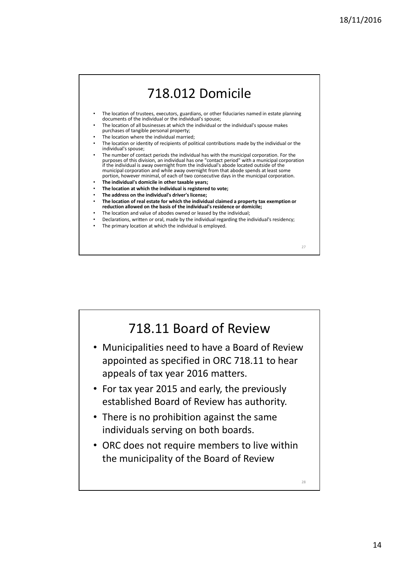

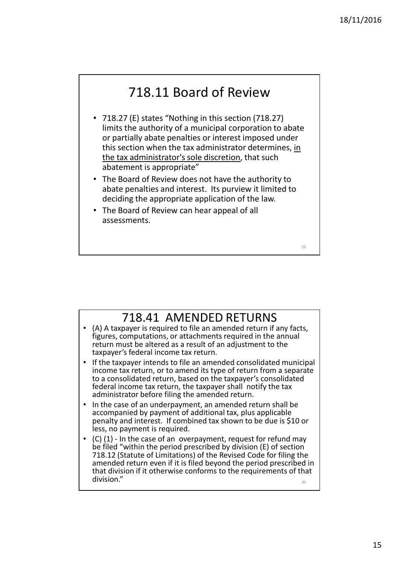# 718.11 Board of Review

- 718.27 (E) states "Nothing in this section (718.27) limits the authority of a municipal corporation to abate or partially abate penalties or interest imposed under this section when the tax administrator determines, in the tax administrator's sole discretion, that such abatement is appropriate"
- The Board of Review does not have the authority to abate penalties and interest. Its purview it limited to deciding the appropriate application of the law.
- The Board of Review can hear appeal of all assessments.

718.41 AMENDED RETURNS

- (A) A taxpayer is required to file an amended return if any facts, figures, computations, or attachments required in the annual return must be altered as a result of an adjustment to the taxpayer's federal income tax return.
- If the taxpayer intends to file an amended consolidated municipal income tax return, or to amend its type of return from a separate to a consolidated return, based on the taxpayer's consolidated federal income tax return, the taxpayer shall notify the tax administrator before filing the amended return.
- In the case of an underpayment, an amended return shall be accompanied by payment of additional tax, plus applicable penalty and interest. If combined tax shown to be due is \$10 or less, no payment is required.
- (C) (1) In the case of an overpayment, request for refund may be filed "within the period prescribed by division (E) of section 718.12 (Statute of Limitations) of the Revised Code for filing the amended return even if it is filed beyond the period prescribed in that division if it otherwise conforms to the requirements of that division."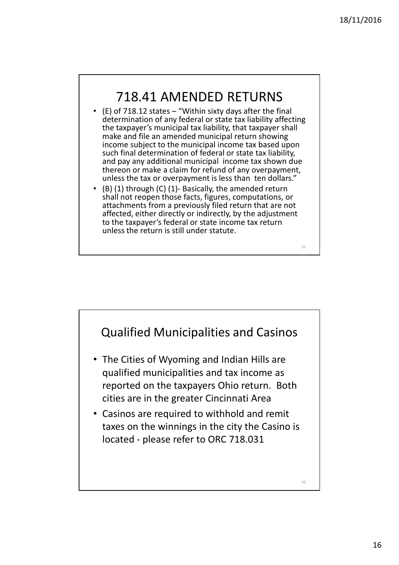## 718.41 AMENDED RETURNS

- $\cdot$  (E) of 718.12 states "Within sixty days after the final determination of any federal or state tax liability affecting the taxpayer's municipal tax liability, that taxpayer shall make and file an amended municipal return showing income subject to the municipal income tax based upon such final determination of federal or state tax liability, and pay any additional municipal income tax shown due thereon or make a claim for refund of any overpayment, unless the tax or overpayment is less than ten dollars."
- $(1)$  (1) through  $(C)$  (1)- Basically, the amended return shall not reopen those facts, figures, computations, or attachments from a previously filed return that are not affected, either directly or indirectly, by the adjustment to the taxpayer's federal or state income tax return unless the return is still under statute.